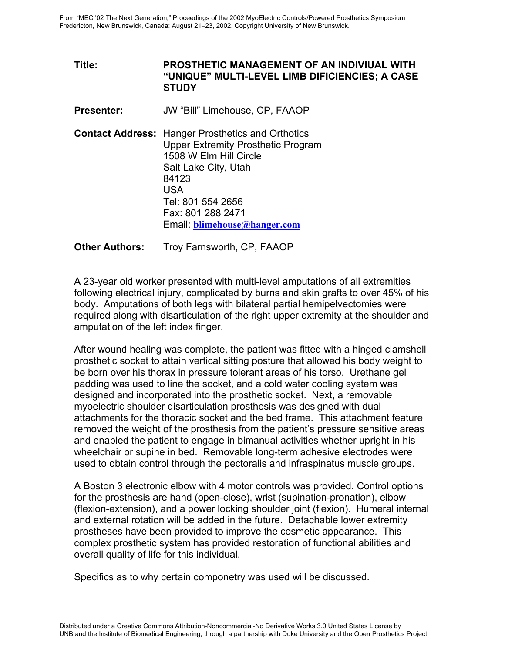**Title: PROSTHETIC MANAGEMENT OF AN INDIVIUAL WITH "UNIQUE" MULTI-LEVEL LIMB DIFICIENCIES; A CASE STUDY** 

**Presenter:** JW "Bill" Limehouse, CP, FAAOP

**Contact Address:** Hanger Prosthetics and Orthotics Upper Extremity Prosthetic Program 1508 W Elm Hill Circle Salt Lake City, Utah 84123 USA Tel: 801 554 2656 Fax: 801 288 2471 Email: **blimehouse@hanger.com**

**Other Authors:** Troy Farnsworth, CP, FAAOP

A 23-year old worker presented with multi-level amputations of all extremities following electrical injury, complicated by burns and skin grafts to over 45% of his body. Amputations of both legs with bilateral partial hemipelvectomies were required along with disarticulation of the right upper extremity at the shoulder and amputation of the left index finger.

After wound healing was complete, the patient was fitted with a hinged clamshell prosthetic socket to attain vertical sitting posture that allowed his body weight to be born over his thorax in pressure tolerant areas of his torso. Urethane gel padding was used to line the socket, and a cold water cooling system was designed and incorporated into the prosthetic socket. Next, a removable myoelectric shoulder disarticulation prosthesis was designed with dual attachments for the thoracic socket and the bed frame. This attachment feature removed the weight of the prosthesis from the patient's pressure sensitive areas and enabled the patient to engage in bimanual activities whether upright in his wheelchair or supine in bed. Removable long-term adhesive electrodes were used to obtain control through the pectoralis and infraspinatus muscle groups.

A Boston 3 electronic elbow with 4 motor controls was provided. Control options for the prosthesis are hand (open-close), wrist (supination-pronation), elbow (flexion-extension), and a power locking shoulder joint (flexion). Humeral internal and external rotation will be added in the future. Detachable lower extremity prostheses have been provided to improve the cosmetic appearance. This complex prosthetic system has provided restoration of functional abilities and overall quality of life for this individual.

Specifics as to why certain componetry was used will be discussed.